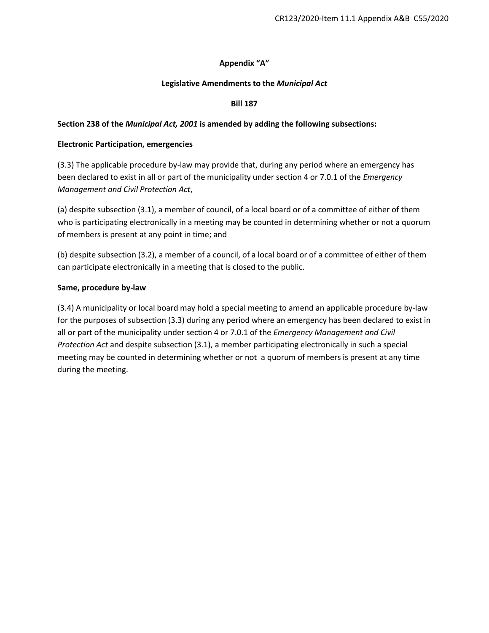### **Appendix "A"**

#### **Legislative Amendments to the** *Municipal Act*

#### **Bill 187**

### **Section 238 of the** *Municipal Act, 2001* **is amended by adding the following subsections:**

#### **Electronic Participation, emergencies**

(3.3) The applicable procedure by-law may provide that, during any period where an emergency has been declared to exist in all or part of the municipality under section 4 or 7.0.1 of the *Emergency Management and Civil Protection Act*,

(a) despite subsection (3.1), a member of council, of a local board or of a committee of either of them who is participating electronically in a meeting may be counted in determining whether or not a quorum of members is present at any point in time; and

(b) despite subsection (3.2), a member of a council, of a local board or of a committee of either of them can participate electronically in a meeting that is closed to the public.

#### **Same, procedure by-law**

(3.4) A municipality or local board may hold a special meeting to amend an applicable procedure by-law for the purposes of subsection (3.3) during any period where an emergency has been declared to exist in all or part of the municipality under section 4 or 7.0.1 of the *Emergency Management and Civil Protection Act* and despite subsection (3.1), a member participating electronically in such a special meeting may be counted in determining whether or not a quorum of members is present at any time during the meeting.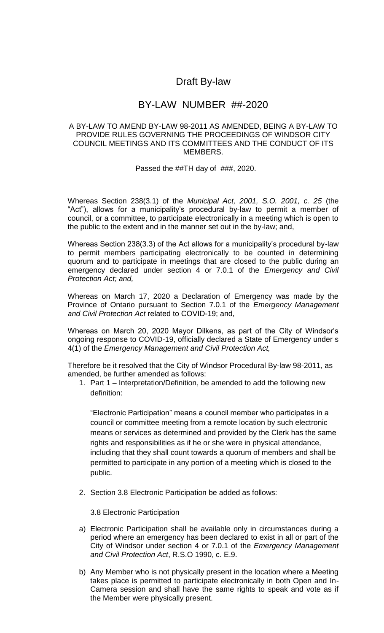# Draft By-law

# BY-LAW NUMBER ##-2020

## A BY-LAW TO AMEND BY-LAW 98-2011 AS AMENDED, BEING A BY-LAW TO PROVIDE RULES GOVERNING THE PROCEEDINGS OF WINDSOR CITY COUNCIL MEETINGS AND ITS COMMITTEES AND THE CONDUCT OF ITS MEMBERS.

Passed the ##TH day of ###, 2020.

Whereas Section 238(3.1) of the *Municipal Act, 2001, S.O. 2001, c. 25* (the "Act"), allows for a municipality's procedural by-law to permit a member of council, or a committee, to participate electronically in a meeting which is open to the public to the extent and in the manner set out in the by-law; and,

Whereas Section 238(3.3) of the Act allows for a municipality's procedural by-law to permit members participating electronically to be counted in determining quorum and to participate in meetings that are closed to the public during an emergency declared under section 4 or 7.0.1 of the *Emergency and Civil Protection Act; and,*

Whereas on March 17, 2020 a Declaration of Emergency was made by the Province of Ontario pursuant to Section 7.0.1 of the *Emergency Management and Civil Protection Act* related to COVID-19; and,

Whereas on March 20, 2020 Mayor Dilkens, as part of the City of Windsor's ongoing response to COVID-19, officially declared a State of Emergency under s 4(1) of the *Emergency Management and Civil Protection Act,*

Therefore be it resolved that the City of Windsor Procedural By-law 98-2011, as amended, be further amended as follows:

1. Part 1 – Interpretation/Definition, be amended to add the following new definition:

"Electronic Participation" means a council member who participates in a council or committee meeting from a remote location by such electronic means or services as determined and provided by the Clerk has the same rights and responsibilities as if he or she were in physical attendance, including that they shall count towards a quorum of members and shall be permitted to participate in any portion of a meeting which is closed to the public.

2. Section 3.8 Electronic Participation be added as follows:

3.8 Electronic Participation

- a) Electronic Participation shall be available only in circumstances during a period where an emergency has been declared to exist in all or part of the City of Windsor under section 4 or 7.0.1 of the *Emergency Management and Civil Protection Act*, R.S.O 1990, c. E.9.
- b) Any Member who is not physically present in the location where a Meeting takes place is permitted to participate electronically in both Open and In-Camera session and shall have the same rights to speak and vote as if the Member were physically present.